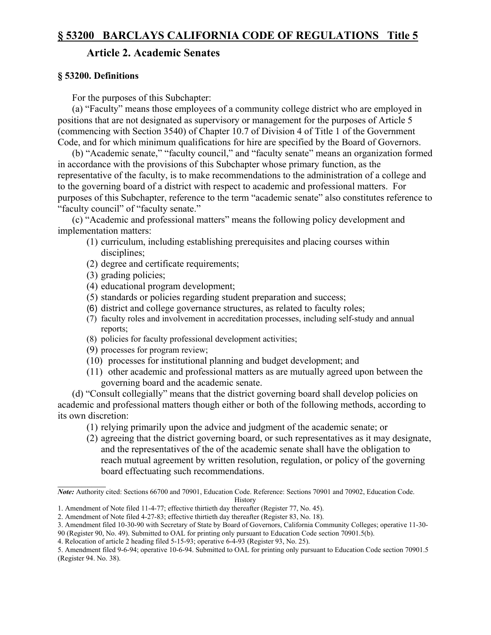### **Article 2. Academic Senates**

### **§ 53200. Definitions**

For the purposes of this Subchapter:

(a) "Faculty" means those employees of a community college district who are employed in positions that are not designated as supervisory or management for the purposes of Article 5 (commencing with Section 3540) of Chapter 10.7 of Division 4 of Title 1 of the Government Code, and for which minimum qualifications for hire are specified by the Board of Governors.

(b) "Academic senate," "faculty council," and "faculty senate" means an organization formed in accordance with the provisions of this Subchapter whose primary function, as the representative of the faculty, is to make recommendations to the administration of a college and to the governing board of a district with respect to academic and professional matters. For purposes of this Subchapter, reference to the term "academic senate" also constitutes reference to "faculty council" of "faculty senate."

(c) "Academic and professional matters" means the following policy development and implementation matters:

- (1) curriculum, including establishing prerequisites and placing courses within disciplines;
- (2) degree and certificate requirements;
- (3) grading policies;

 $\frac{1}{2}$ 

- (4) educational program development;
- (5) standards or policies regarding student preparation and success;
- (6) district and college governance structures, as related to faculty roles;
- (7) faculty roles and involvement in accreditation processes, including self-study and annual reports;
- (8) policies for faculty professional development activities;
- (9) processes for program review;
- (10) processes for institutional planning and budget development; and
- (11) other academic and professional matters as are mutually agreed upon between the governing board and the academic senate.

(d) "Consult collegially" means that the district governing board shall develop policies on academic and professional matters though either or both of the following methods, according to its own discretion:

- (1) relying primarily upon the advice and judgment of the academic senate; or
- (2) agreeing that the district governing board, or such representatives as it may designate, and the representatives of the of the academic senate shall have the obligation to reach mutual agreement by written resolution, regulation, or policy of the governing board effectuating such recommendations.

*Note:* Authority cited: Sections 66700 and 70901, Education Code. Reference: Sections 70901 and 70902, Education Code.

History

<sup>1.</sup> Amendment of Note filed 11-4-77; effective thirtieth day thereafter (Register 77, No. 45).

<sup>2.</sup> Amendment of Note filed 4-27-83; effective thirtieth day thereafter (Register 83, No. 18).

<sup>3.</sup> Amendment filed 10-30-90 with Secretary of State by Board of Governors, California Community Colleges; operative 11-30-

<sup>90 (</sup>Register 90, No. 49). Submitted to OAL for printing only pursuant to Education Code section 70901.5(b).

<sup>4.</sup> Relocation of article 2 heading filed 5-15-93; operative 6-4-93 (Register 93, No. 25).

<sup>5.</sup> Amendment filed 9-6-94; operative 10-6-94. Submitted to OAL for printing only pursuant to Education Code section 70901.5 (Register 94. No. 38).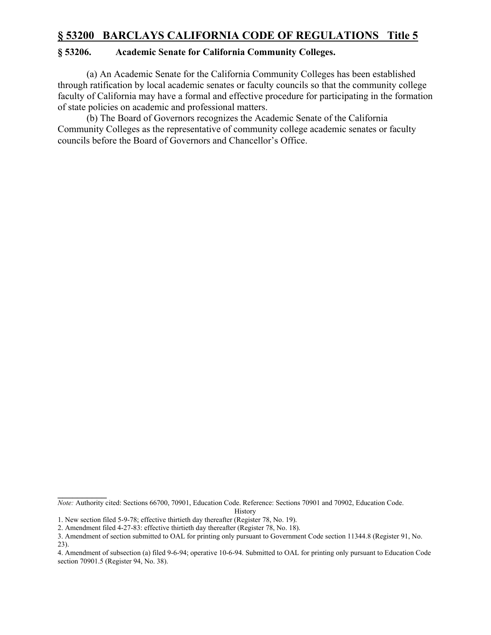### **§ 53206. Academic Senate for California Community Colleges.**

(a) An Academic Senate for the California Community Colleges has been established through ratification by local academic senates or faculty councils so that the community college faculty of California may have a formal and effective procedure for participating in the formation of state policies on academic and professional matters.

(b) The Board of Governors recognizes the Academic Senate of the California Community Colleges as the representative of community college academic senates or faculty councils before the Board of Governors and Chancellor's Office.

History

 $\mathcal{L}_\text{max}$ *Note:* Authority cited: Sections 66700, 70901, Education Code. Reference: Sections 70901 and 70902, Education Code.

<sup>1.</sup> New section filed 5-9-78; effective thirtieth day thereafter (Register 78, No. 19).

<sup>2.</sup> Amendment filed 4-27-83: effective thirtieth day thereafter (Register 78, No. 18).

<sup>3.</sup> Amendment of section submitted to OAL for printing only pursuant to Government Code section 11344.8 (Register 91, No. 23).

<sup>4.</sup> Amendment of subsection (a) filed 9-6-94; operative 10-6-94. Submitted to OAL for printing only pursuant to Education Code section 70901.5 (Register 94, No. 38).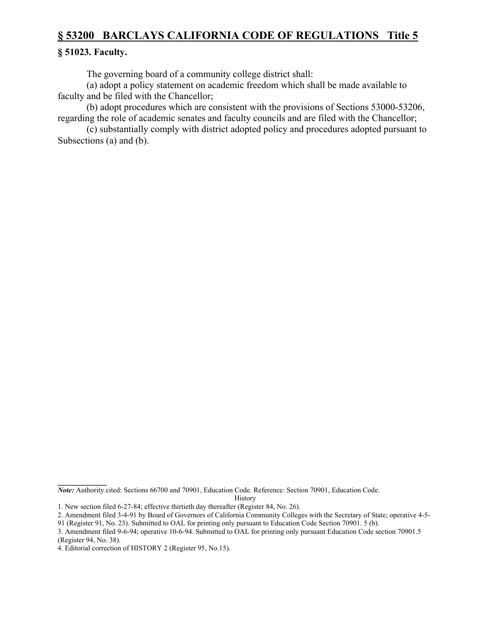#### **§ 51023. Faculty.**

The governing board of a community college district shall:

(a) adopt a policy statement on academic freedom which shall be made available to faculty and be filed with the Chancellor;

(b) adopt procedures which are consistent with the provisions of Sections 53000-53206, regarding the role of academic senates and faculty councils and are filed with the Chancellor;

(c) substantially comply with district adopted policy and procedures adopted pursuant to Subsections (a) and (b).

History

 $\mathcal{L}_\text{max}$ 

*Note:* Authority cited: Sections 66700 and 70901, Education Code. Reference: Section 70901, Education Code.

<sup>1.</sup> New section filed 6-27-84; effective thirtieth day thereafter (Register 84, No. 26).

<sup>2.</sup> Amendment filed 3-4-91 by Board of Governors of California Community Colleges with the Secretary of State; operative 4-5-

<sup>91 (</sup>Register 91, No. 23). Submitted to OAL for printing only pursuant to Education Code Section 70901. 5 (b).

<sup>3.</sup> Amendment filed 9-6-94; operative 10-6-94. Submitted to OAL for printing only pursuant Education Code section 70901.5 (Register 94, No. 38).

<sup>4.</sup> Editorial correction of HISTORY 2 (Register 95, No.15).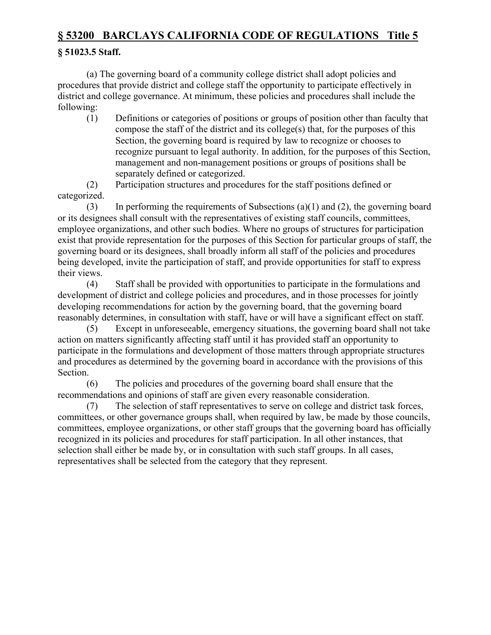### **§ 51023.5 Staff.**

(a) The governing board of a community college district shall adopt policies and procedures that provide district and college staff the opportunity to participate effectively in district and college governance. At minimum, these policies and procedures shall include the following:

(1) Definitions or categories of positions or groups of position other than faculty that compose the staff of the district and its college(s) that, for the purposes of this Section, the governing board is required by law to recognize or chooses to recognize pursuant to legal authority. In addition, for the purposes of this Section, management and non-management positions or groups of positions shall be separately defined or categorized.

(2) Participation structures and procedures for the staff positions defined or categorized.

(3) In performing the requirements of Subsections (a)(1) and (2), the governing board or its designees shall consult with the representatives of existing staff councils, committees, employee organizations, and other such bodies. Where no groups of structures for participation exist that provide representation for the purposes of this Section for particular groups of staff, the governing board or its designees, shall broadly inform all staff of the policies and procedures being developed, invite the participation of staff, and provide opportunities for staff to express their views.

(4) Staff shall be provided with opportunities to participate in the formulations and development of district and college policies and procedures, and in those processes for jointly developing recommendations for action by the governing board, that the governing board reasonably determines, in consultation with staff, have or will have a significant effect on staff.

(5) Except in unforeseeable, emergency situations, the governing board shall not take action on matters significantly affecting staff until it has provided staff an opportunity to participate in the formulations and development of those matters through appropriate structures and procedures as determined by the governing board in accordance with the provisions of this Section.

(6) The policies and procedures of the governing board shall ensure that the recommendations and opinions of staff are given every reasonable consideration.

(7) The selection of staff representatives to serve on college and district task forces, committees, or other governance groups shall, when required by law, be made by those councils, committees, employee organizations, or other staff groups that the governing board has officially recognized in its policies and procedures for staff participation. In all other instances, that selection shall either be made by, or in consultation with such staff groups. In all cases, representatives shall be selected from the category that they represent.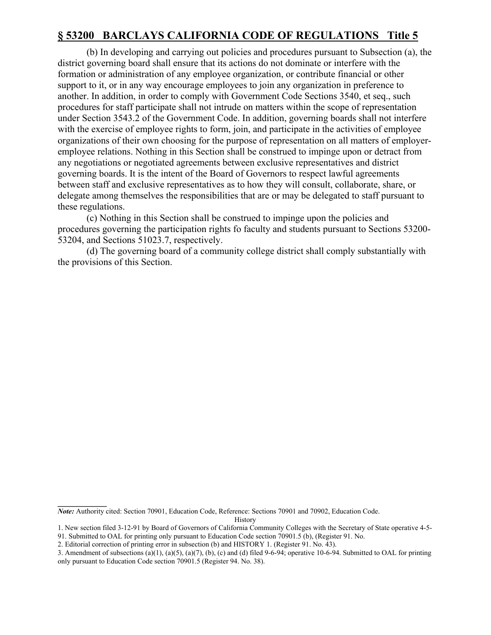(b) In developing and carrying out policies and procedures pursuant to Subsection (a), the district governing board shall ensure that its actions do not dominate or interfere with the formation or administration of any employee organization, or contribute financial or other support to it, or in any way encourage employees to join any organization in preference to another. In addition, in order to comply with Government Code Sections 3540, et seq., such procedures for staff participate shall not intrude on matters within the scope of representation under Section 3543.2 of the Government Code. In addition, governing boards shall not interfere with the exercise of employee rights to form, join, and participate in the activities of employee organizations of their own choosing for the purpose of representation on all matters of employeremployee relations. Nothing in this Section shall be construed to impinge upon or detract from any negotiations or negotiated agreements between exclusive representatives and district governing boards. It is the intent of the Board of Governors to respect lawful agreements between staff and exclusive representatives as to how they will consult, collaborate, share, or delegate among themselves the responsibilities that are or may be delegated to staff pursuant to these regulations.

(c) Nothing in this Section shall be construed to impinge upon the policies and procedures governing the participation rights fo faculty and students pursuant to Sections 53200- 53204, and Sections 51023.7, respectively.

(d) The governing board of a community college district shall comply substantially with the provisions of this Section.

*Note:* Authority cited: Section 70901, Education Code, Reference: Sections 70901 and 70902, Education Code.

History

 $\mathcal{L}_\text{max}$ 

<sup>1.</sup> New section filed 3-12-91 by Board of Governors of California Community Colleges with the Secretary of State operative 4-5-

<sup>91.</sup> Submitted to OAL for printing only pursuant to Education Code section 70901.5 (b), (Register 91. No.

<sup>2.</sup> Editorial correction of printing error in subsection (b) and HISTORY 1. (Register 91. No. 43).

<sup>3.</sup> Amendment of subsections (a)(1), (a)(5), (a)(7), (b), (c) and (d) filed 9-6-94; operative 10-6-94. Submitted to OAL for printing only pursuant to Education Code section 70901.5 (Register 94. No. 38).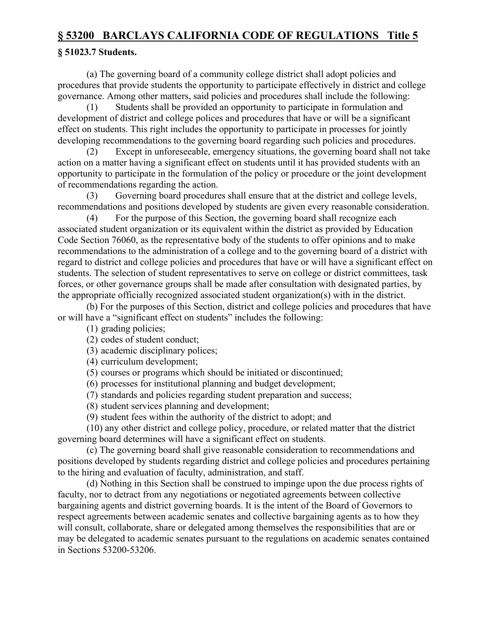## **§ 51023.7 Students.**

(a) The governing board of a community college district shall adopt policies and procedures that provide students the opportunity to participate effectively in district and college governance. Among other matters, said policies and procedures shall include the following:

(1) Students shall be provided an opportunity to participate in formulation and development of district and college polices and procedures that have or will be a significant effect on students. This right includes the opportunity to participate in processes for jointly developing recommendations to the governing board regarding such policies and procedures.

(2) Except in unforeseeable, emergency situations, the governing board shall not take action on a matter having a significant effect on students until it has provided students with an opportunity to participate in the formulation of the policy or procedure or the joint development of recommendations regarding the action.

(3) Governing board procedures shall ensure that at the district and college levels, recommendations and positions developed by students are given every reasonable consideration.

(4) For the purpose of this Section, the governing board shall recognize each associated student organization or its equivalent within the district as provided by Education Code Section 76060, as the representative body of the students to offer opinions and to make recommendations to the administration of a college and to the governing board of a district with regard to district and college policies and procedures that have or will have a significant effect on students. The selection of student representatives to serve on college or district committees, task forces, or other governance groups shall be made after consultation with designated parties, by the appropriate officially recognized associated student organization(s) with in the district.

(b) For the purposes of this Section, district and college policies and procedures that have or will have a "significant effect on students" includes the following:

(1) grading policies;

(2) codes of student conduct;

(3) academic disciplinary polices;

(4) curriculum development;

(5) courses or programs which should be initiated or discontinued;

(6) processes for institutional planning and budget development;

(7) standards and policies regarding student preparation and success;

(8) student services planning and development;

(9) student fees within the authority of the district to adopt; and

(10) any other district and college policy, procedure, or related matter that the district governing board determines will have a significant effect on students.

(c) The governing board shall give reasonable consideration to recommendations and positions developed by students regarding district and college policies and procedures pertaining to the hiring and evaluation of faculty, administration, and staff.

(d) Nothing in this Section shall be construed to impinge upon the due process rights of faculty, nor to detract from any negotiations or negotiated agreements between collective bargaining agents and district governing boards. It is the intent of the Board of Governors to respect agreements between academic senates and collective bargaining agents as to how they will consult, collaborate, share or delegated among themselves the responsibilities that are or may be delegated to academic senates pursuant to the regulations on academic senates contained in Sections 53200-53206.